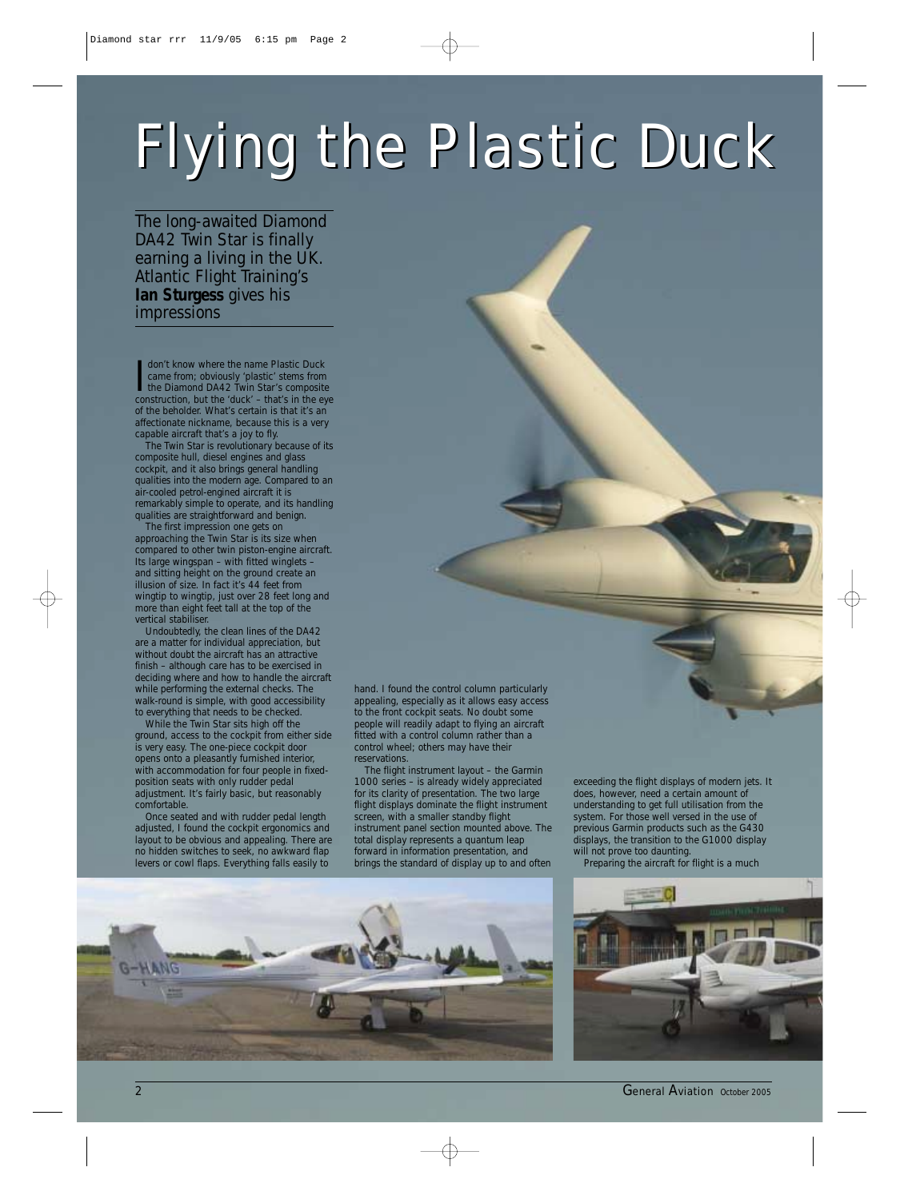## *Flying the Plastic Duck Flying the Plastic Duck*

*The long-awaited Diamond DA42 Twin Star is finally earning a living in the UK. Atlantic Flight Training's Ian Sturgess gives his impressions*

|<br>Cor don't know where the name Plastic Duck came from; obviously 'plastic' stems from the Diamond DA42 Twin Star's composite construction, but the 'duck' – that's in the eye of the beholder. What's certain is that it's an affectionate nickname, because this is a very capable aircraft that's a joy to fly.

The Twin Star is revolutionary because of its composite hull, diesel engines and glass cockpit, and it also brings general handling qualities into the modern age. Compared to an air-cooled petrol-engined aircraft it is remarkably simple to operate, and its handling qualities are straightforward and benign.

The first impression one gets on approaching the Twin Star is its size when compared to other twin piston-engine aircraft. Its large wingspan – with fitted winglets – and sitting height on the ground create an illusion of size. In fact it's 44 feet from wingtip to wingtip, just over 28 feet long and more than eight feet tall at the top of the vertical stabiliser.

Undoubtedly, the clean lines of the DA42 are a matter for individual appreciation, but without doubt the aircraft has an attractive finish – although care has to be exercised in deciding where and how to handle the aircraft while performing the external checks. The walk-round is simple, with good accessibility to everything that needs to be checked.

While the Twin Star sits high off the ground, access to the cockpit from either side is very easy. The one-piece cockpit door opens onto a pleasantly furnished interior, with accommodation for four people in fixedposition seats with only rudder pedal adjustment. It's fairly basic, but reasonably comfortable.

Once seated and with rudder pedal length adjusted, I found the cockpit ergonomics and layout to be obvious and appealing. There are no hidden switches to seek, no awkward flap levers or cowl flaps. Everything falls easily to

hand. I found the control column particularly appealing, especially as it allows easy access to the front cockpit seats. No doubt some people will readily adapt to flying an aircraft fitted with a control column rather than a control wheel; others may have their reservations.

The flight instrument layout – the Garmin 1000 series – is already widely appreciated for its clarity of presentation. The two large flight displays dominate the flight instrument screen, with a smaller standby flight instrument panel section mounted above. The total display represents a quantum leap forward in information presentation, and brings the standard of display up to and often

exceeding the flight displays of modern jets. It does, however, need a certain amount of understanding to get full utilisation from the system. For those well versed in the use of previous Garmin products such as the G430 displays, the transition to the G1000 display will not prove too daunting.

Preparing the aircraft for flight is a much





2 *General Aviation October 2005*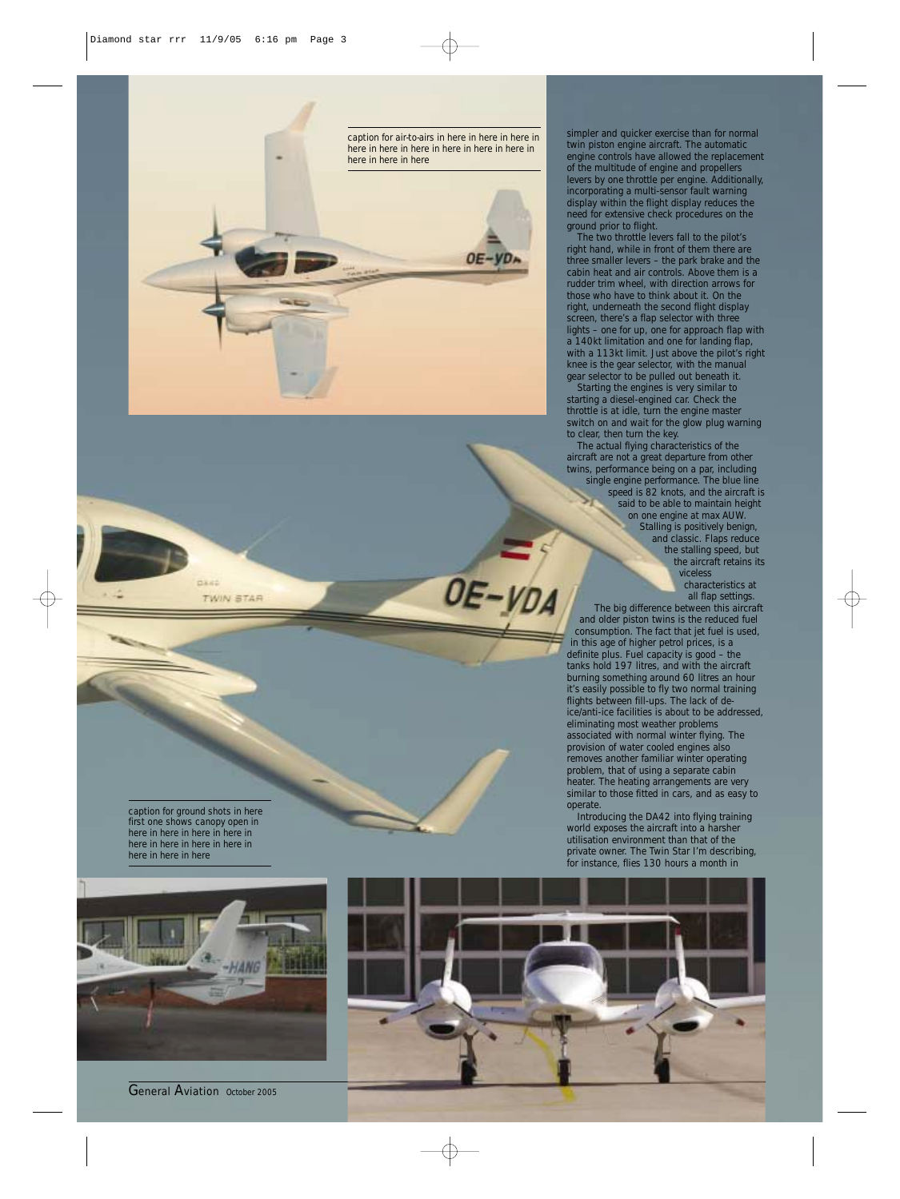

simpler and quicker exercise than for normal twin piston engine aircraft. The automatic engine controls have allowed the replacement of the multitude of engine and propellers levers by one throttle per engine. Additionally, incorporating a multi-sensor fault warning display within the flight display reduces the need for extensive check procedures on the ground prior to flight.

The two throttle levers fall to the pilot's right hand, while in front of them there are three smaller levers – the park brake and the cabin heat and air controls. Above them is a rudder trim wheel, with direction arrows for those who have to think about it. On the right, underneath the second flight display screen, there's a flap selector with three lights – one for up, one for approach flap with a 140kt limitation and one for landing flap, with a 113kt limit. Just above the pilot's right knee is the gear selector, with the manual gear selector to be pulled out beneath it.

Starting the engines is very similar to starting a diesel-engined car. Check the throttle is at idle, turn the engine master switch on and wait for the glow plug warning to clear, then turn the key.

The actual flying characteristics of the aircraft are not a great departure from other twins, performance being on a par, including single engine performance. The blue line speed is 82 knots, and the aircraft is said to be able to maintain height on one engine at max AUW. Stalling is positively benign, and classic. Flaps reduce the stalling speed, but the aircraft retains its

viceless characteristics at all flap settings. The big difference between this aircraft and older piston twins is the reduced fuel consumption. The fact that jet fuel is used, in this age of higher petrol prices, is a definite plus. Fuel capacity is good – the tanks hold 197 litres, and with the aircraft burning something around 60 litres an hour it's easily possible to fly two normal training flights between fill-ups. The lack of deice/anti-ice facilities is about to be addressed, eliminating most weather problems associated with normal winter flying. The provision of water cooled engines also removes another familiar winter operating problem, that of using a separate cabin heater. The heating arrangements are very similar to those fitted in cars, and as easy to operate.

Introducing the DA42 into flying training world exposes the aircraft into a harsher utilisation environment than that of the private owner. The Twin Star I'm describing, for instance, flies 130 hours a month in

*caption for ground shots in here first one shows canopy open in here in here in here in here in here in here in here in here in here in here in here*

pass

**TWIN STAR** 



*General Aviation October 2005* 



OE-YDA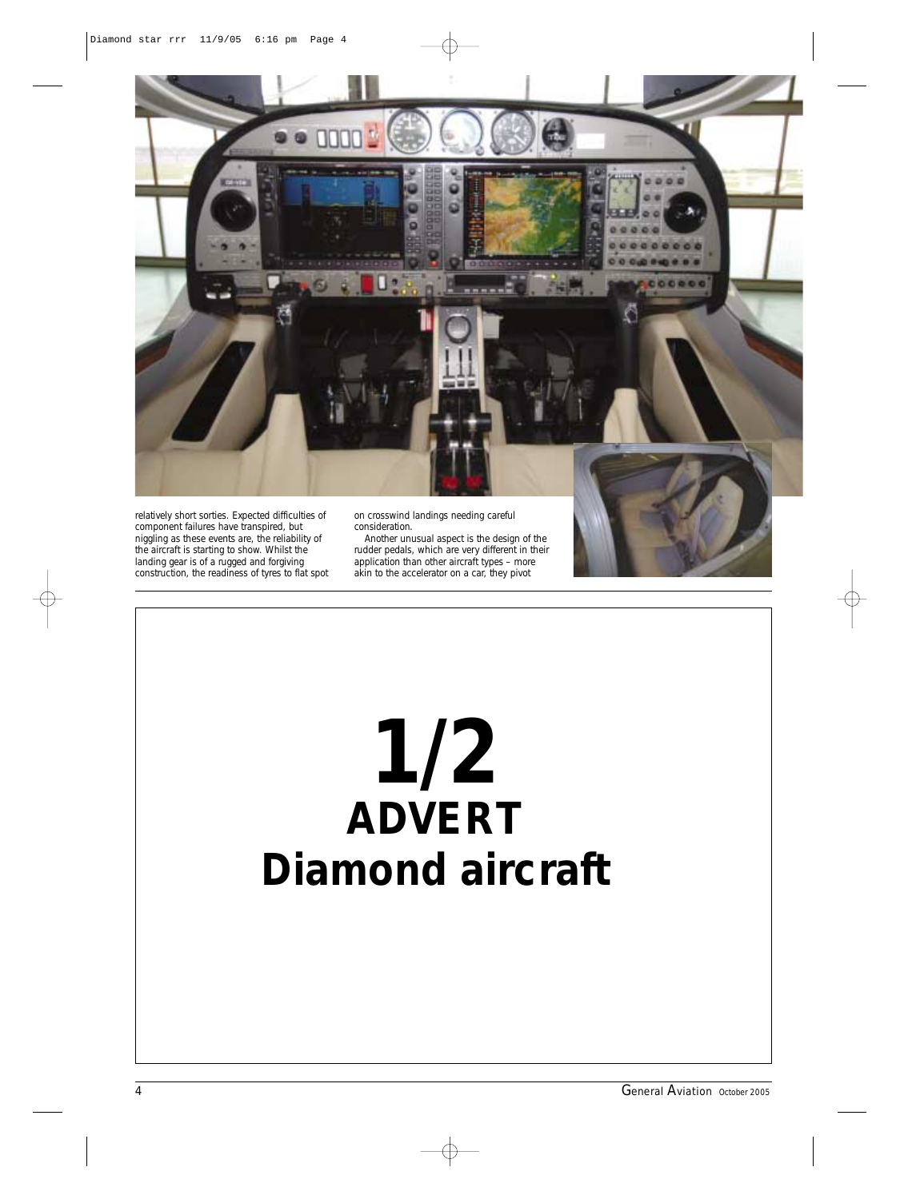

relatively short sorties. Expected difficulties of component failures have transpired, but niggling as these events are, the reliability of the aircraft is starting to show. Whilst the landing gear is of a rugged and forgiving construction, the readiness of tyres to flat spot on crosswind landings needing careful consideration.

Another unusual aspect is the design of the rudder pedals, which are very different in their application than other aircraft types – more akin to the accelerator on a car, they pivot

## **1/2 ADVERT Diamond aircraft**